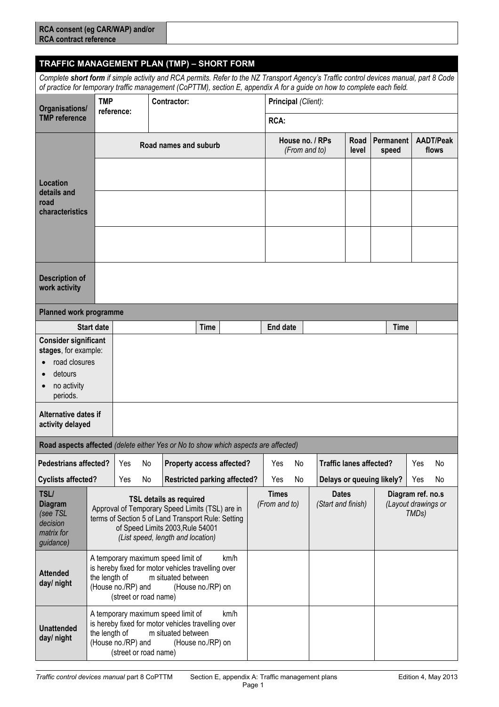## **RCA consent (eg CAR/WAP) and/or RCA contract reference**

*Complete short form if simple activity and RCA permits. Refer to the NZ Transport Agency's Traffic control devices manual, part 8 Code of practice for temporary traffic management (CoPTTM), section E, appendix A for a guide on how to complete each field.*

| Organisations/                                                                     | <b>TMP</b>                                                                                                                                                                                                  | reference:                                                                                                                                                                                                       |    | <b>Contractor:</b>               |                                     |                               | Principal (Client):                       |                                        |                                |      |                                                                |                           |    |
|------------------------------------------------------------------------------------|-------------------------------------------------------------------------------------------------------------------------------------------------------------------------------------------------------------|------------------------------------------------------------------------------------------------------------------------------------------------------------------------------------------------------------------|----|----------------------------------|-------------------------------------|-------------------------------|-------------------------------------------|----------------------------------------|--------------------------------|------|----------------------------------------------------------------|---------------------------|----|
| <b>TMP</b> reference                                                               |                                                                                                                                                                                                             |                                                                                                                                                                                                                  |    |                                  | <b>RCA:</b>                         |                               |                                           |                                        |                                |      |                                                                |                           |    |
|                                                                                    | Road names and suburb                                                                                                                                                                                       |                                                                                                                                                                                                                  |    |                                  |                                     |                               | House no. / RPs<br>(From and to)<br>level |                                        |                                | Road | <b>Permanent</b><br>speed                                      | <b>AADT/Peak</b><br>flows |    |
| Location<br>details and<br>road<br>characteristics                                 |                                                                                                                                                                                                             |                                                                                                                                                                                                                  |    |                                  |                                     |                               |                                           |                                        |                                |      |                                                                |                           |    |
|                                                                                    |                                                                                                                                                                                                             |                                                                                                                                                                                                                  |    |                                  |                                     |                               |                                           |                                        |                                |      |                                                                |                           |    |
|                                                                                    |                                                                                                                                                                                                             |                                                                                                                                                                                                                  |    |                                  |                                     |                               |                                           |                                        |                                |      |                                                                |                           |    |
| <b>Description of</b><br>work activity                                             |                                                                                                                                                                                                             |                                                                                                                                                                                                                  |    |                                  |                                     |                               |                                           |                                        |                                |      |                                                                |                           |    |
| Planned work programme                                                             |                                                                                                                                                                                                             |                                                                                                                                                                                                                  |    |                                  |                                     |                               |                                           |                                        |                                |      |                                                                |                           |    |
| <b>Start date</b>                                                                  |                                                                                                                                                                                                             |                                                                                                                                                                                                                  |    |                                  | <b>Time</b>                         |                               | <b>End date</b>                           |                                        |                                |      | <b>Time</b>                                                    |                           |    |
| <b>Consider significant</b><br>stages, for example:                                |                                                                                                                                                                                                             |                                                                                                                                                                                                                  |    |                                  |                                     |                               |                                           |                                        |                                |      |                                                                |                           |    |
| road closures                                                                      |                                                                                                                                                                                                             |                                                                                                                                                                                                                  |    |                                  |                                     |                               |                                           |                                        |                                |      |                                                                |                           |    |
| detours<br>no activity                                                             |                                                                                                                                                                                                             |                                                                                                                                                                                                                  |    |                                  |                                     |                               |                                           |                                        |                                |      |                                                                |                           |    |
| periods.                                                                           |                                                                                                                                                                                                             |                                                                                                                                                                                                                  |    |                                  |                                     |                               |                                           |                                        |                                |      |                                                                |                           |    |
| Alternative dates if<br>activity delayed                                           |                                                                                                                                                                                                             |                                                                                                                                                                                                                  |    |                                  |                                     |                               |                                           |                                        |                                |      |                                                                |                           |    |
| Road aspects affected (delete either Yes or No to show which aspects are affected) |                                                                                                                                                                                                             |                                                                                                                                                                                                                  |    |                                  |                                     |                               |                                           |                                        |                                |      |                                                                |                           |    |
| <b>Pedestrians affected?</b>                                                       |                                                                                                                                                                                                             | Yes                                                                                                                                                                                                              | No | <b>Property access affected?</b> |                                     |                               | Yes<br>No                                 |                                        | <b>Traffic lanes affected?</b> |      |                                                                | Yes                       | No |
| <b>Cyclists affected?</b>                                                          |                                                                                                                                                                                                             | Yes                                                                                                                                                                                                              | No |                                  | <b>Restricted parking affected?</b> |                               | Yes                                       | Delays or queuing likely?<br>No<br>Yes |                                | No   |                                                                |                           |    |
| <b>TSL/</b><br><b>Diagram</b><br>(see TSL<br>decision<br>matrix for<br>guidance)   |                                                                                                                                                                                                             | <b>TSL details as required</b><br>Approval of Temporary Speed Limits (TSL) are in<br>terms of Section 5 of Land Transport Rule: Setting<br>of Speed Limits 2003, Rule 54001<br>(List speed, length and location) |    |                                  |                                     | <b>Times</b><br>(From and to) |                                           | <b>Dates</b><br>(Start and finish)     |                                |      | Diagram ref. no.s<br>(Layout drawings or<br>TMD <sub>s</sub> ) |                           |    |
| <b>Attended</b><br>day/ night                                                      | A temporary maximum speed limit of<br>km/h<br>is hereby fixed for motor vehicles travelling over<br>m situated between<br>the length of<br>(House no./RP) and<br>(House no./RP) on<br>(street or road name) |                                                                                                                                                                                                                  |    |                                  |                                     |                               |                                           |                                        |                                |      |                                                                |                           |    |
| <b>Unattended</b><br>day/ night                                                    | A temporary maximum speed limit of<br>km/h<br>is hereby fixed for motor vehicles travelling over<br>the length of<br>m situated between<br>(House no./RP) and<br>(House no./RP) on<br>(street or road name) |                                                                                                                                                                                                                  |    |                                  |                                     |                               |                                           |                                        |                                |      |                                                                |                           |    |